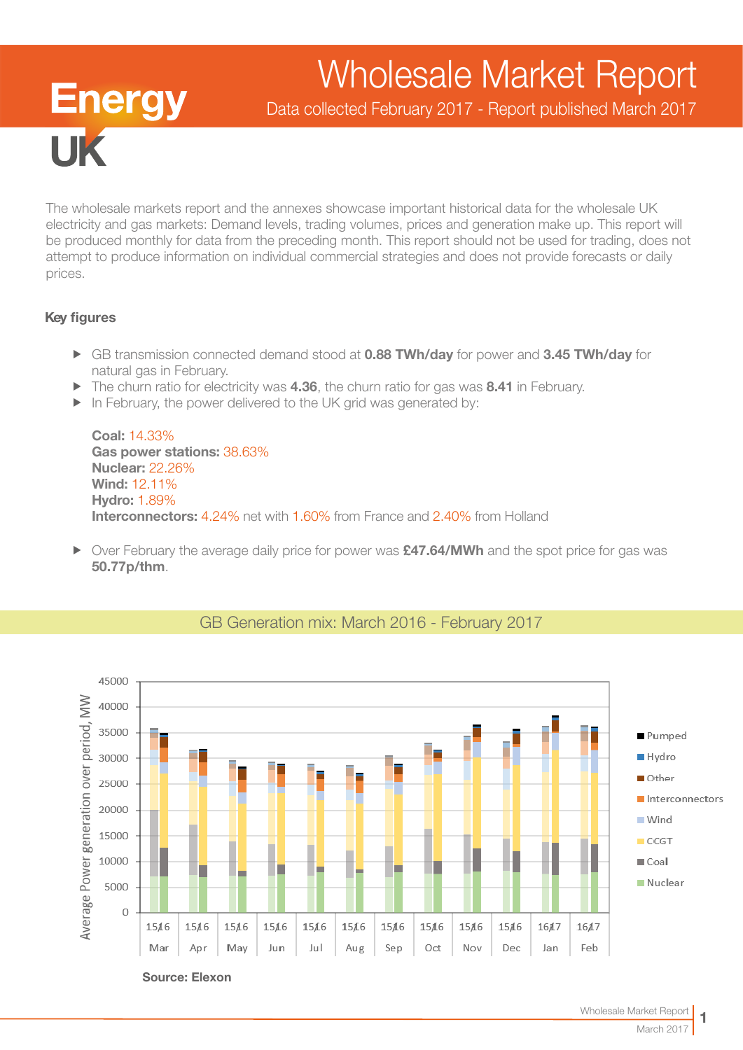# Wholesale Market Report

Data collected February 2017 - Report published March 2017

The wholesale markets report and the annexes showcase important historical data for the wholesale UK electricity and gas markets: Demand levels, trading volumes, prices and generation make up. This report will be produced monthly for data from the preceding month. This report should not be used for trading, does not attempt to produce information on individual commercial strategies and does not provide forecasts or daily prices.

## Key figures

**TK** 

**Energy** 

- ► GB transmission connected demand stood at 0.88 TWh/day for power and 3.45 TWh/day for natural gas in February.
- $\blacktriangleright$  The churn ratio for electricity was 4.36, the churn ratio for gas was 8.41 in February.
- $\blacktriangleright$  In February, the power delivered to the UK grid was generated by:

Coal: 14.33% Gas power stations: 38.63% Nuclear: 22.26% Wind: 12.11% Hydro: 1.89% Interconnectors: 4.24% net with 1.60% from France and 2.40% from Holland

▶ Over February the average daily price for power was £47.64/MWh and the spot price for gas was 50.77p/thm.



## GB Generation mix: March 2016 - February 2017

Source: Elexon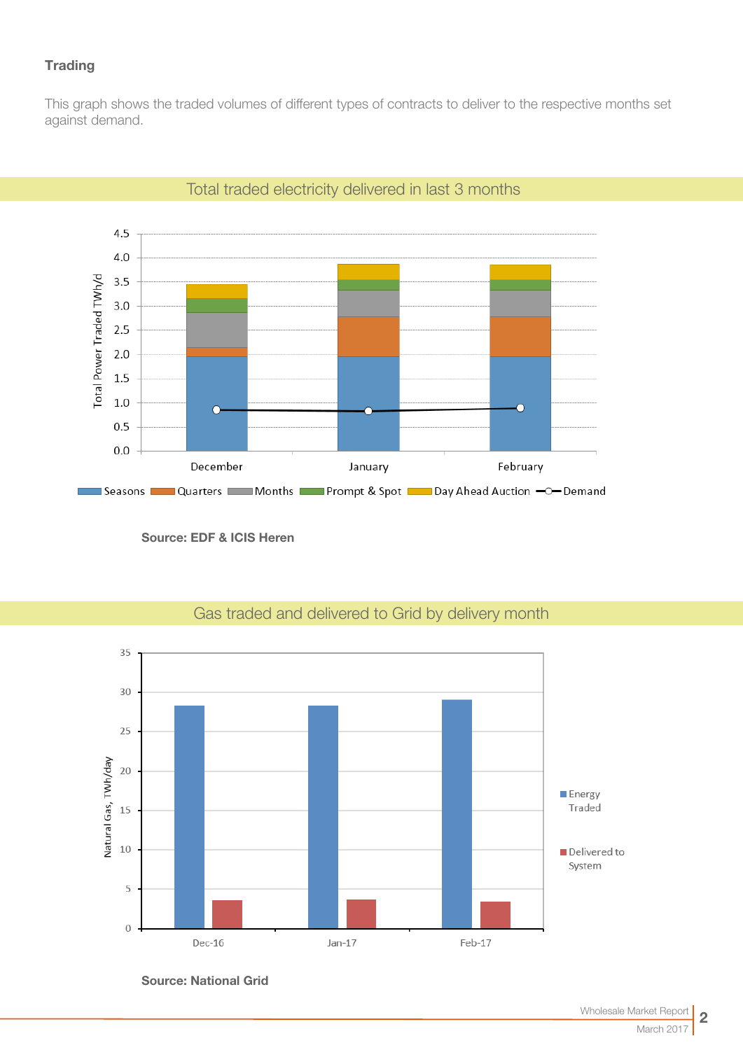## **Trading**

This graph shows the traded volumes of different types of contracts to deliver to the respective months set against demand.



## Total traded electricity delivered in last 3 months

Source: EDF & ICIS Heren



# Gas traded and delivered to Grid by delivery month

Source: National Grid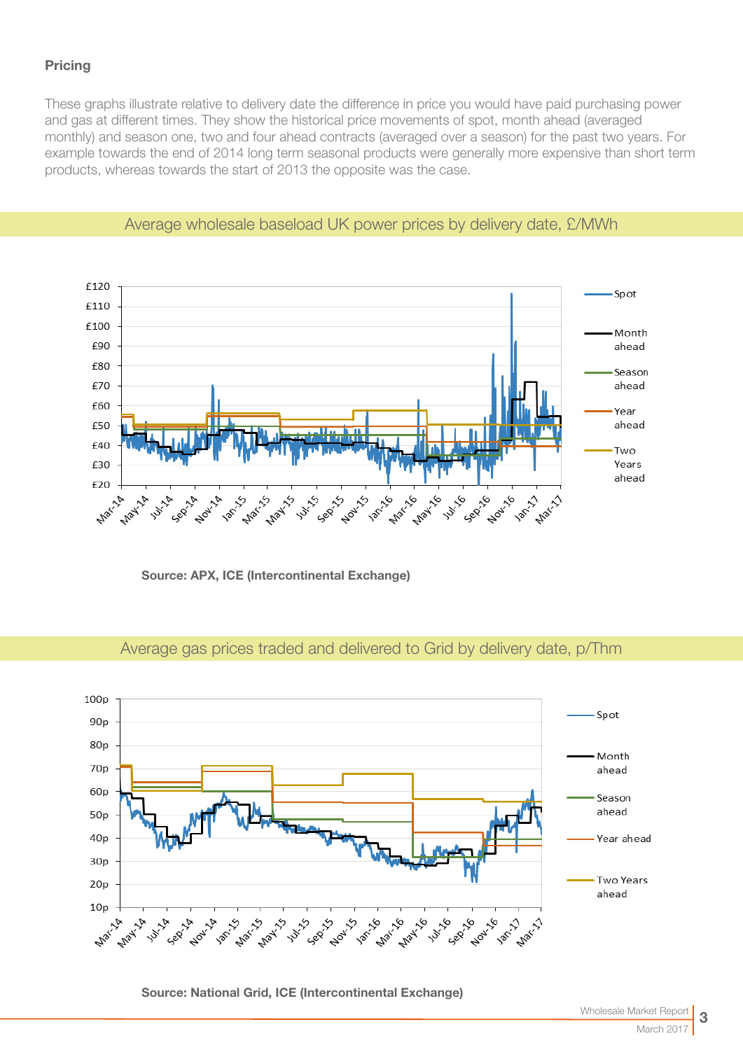## **Pricing**

These graphs illustrate relative to delivery date the difference in price you would have paid purchasing power and gas at different times. They show the historical price movements of spot, month ahead (averaged monthly) and season one, two and four ahead contracts (averaged over a season) for the past two years. For example towards the end of 2014 long term seasonal products were generally more expensive than short term products, whereas towards the start of 2013 the opposite was the case.



## Average wholesale baseload UK power prices by delivery date, £/MWh

Source: APX, ICE (Intercontinental Exchange)



## Average gas prices traded and delivered to Grid by delivery date, p/Thm

Source: National Grid, ICE (Intercontinental Exchange)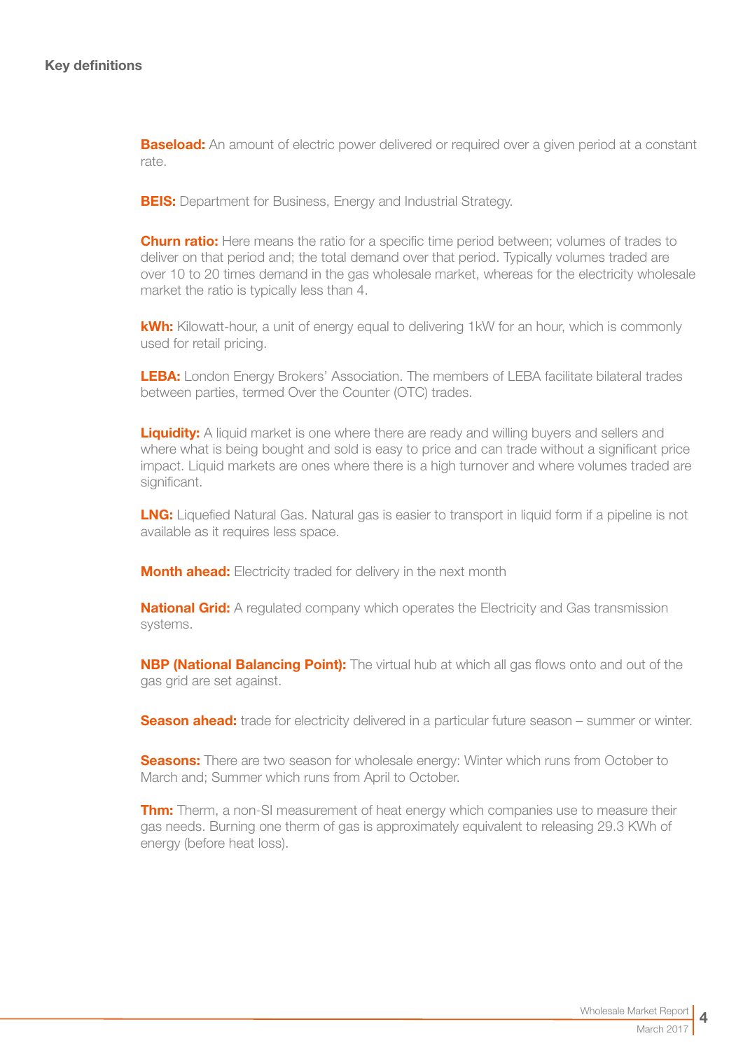**Baseload:** An amount of electric power delivered or required over a given period at a constant rate.

**BEIS:** Department for Business, Energy and Industrial Strategy.

**Churn ratio:** Here means the ratio for a specific time period between; volumes of trades to deliver on that period and; the total demand over that period. Typically volumes traded are over 10 to 20 times demand in the gas wholesale market, whereas for the electricity wholesale market the ratio is typically less than 4.

kWh: Kilowatt-hour, a unit of energy equal to delivering 1kW for an hour, which is commonly used for retail pricing.

LEBA: London Energy Brokers' Association. The members of LEBA facilitate bilateral trades between parties, termed Over the Counter (OTC) trades.

**Liquidity:** A liquid market is one where there are ready and willing buyers and sellers and where what is being bought and sold is easy to price and can trade without a significant price impact. Liquid markets are ones where there is a high turnover and where volumes traded are significant.

**LNG:** Liquefied Natural Gas. Natural gas is easier to transport in liquid form if a pipeline is not available as it requires less space.

**Month ahead:** Electricity traded for delivery in the next month

**National Grid:** A regulated company which operates the Electricity and Gas transmission systems.

**NBP (National Balancing Point):** The virtual hub at which all gas flows onto and out of the gas grid are set against.

**Season ahead:** trade for electricity delivered in a particular future season – summer or winter.

**Seasons:** There are two season for wholesale energy: Winter which runs from October to March and; Summer which runs from April to October.

**Thm:** Therm, a non-SI measurement of heat energy which companies use to measure their gas needs. Burning one therm of gas is approximately equivalent to releasing 29.3 KWh of energy (before heat loss).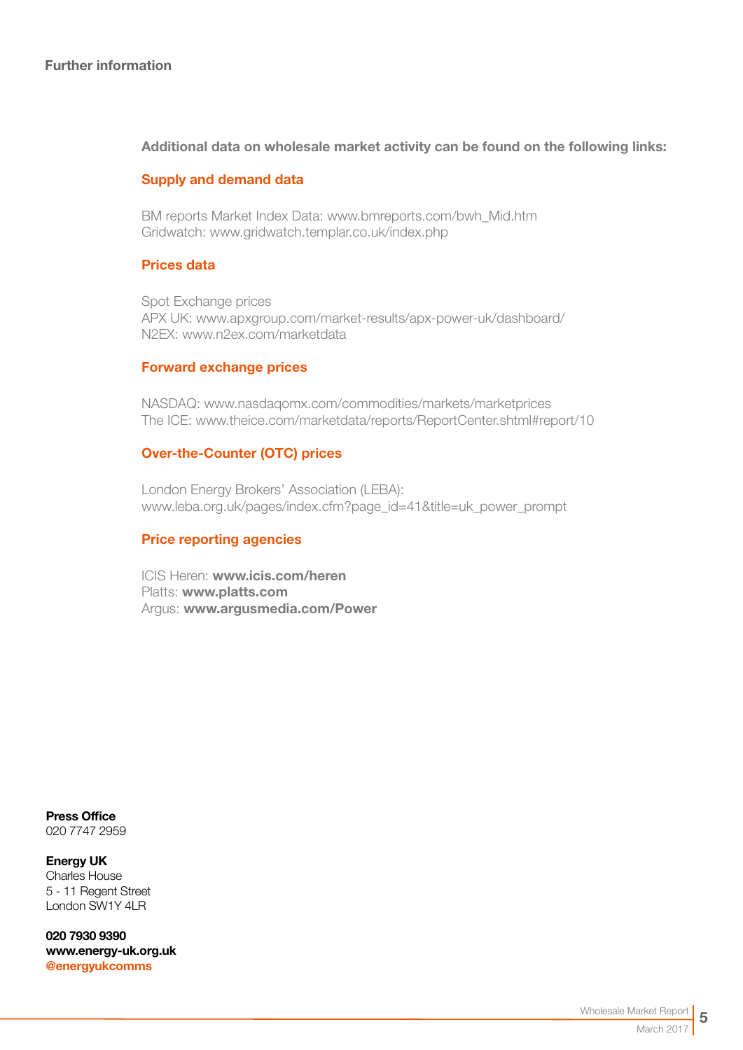### Further information

### Additional data on wholesale market activity can be found on the following links:

### Supply and demand data

BM reports Market Index Data[: www.bmreports.com/bwh\\_Mid.htm](http://www.bmreports.com/bwh_Mid.htm)  Gridwatch[: www.gridwatch.templar.co.uk/index.php](http://www.gridwatch.templar.co.uk/index.php)

#### Prices data

Spot Exchange prices APX UK: [www.apxgroup.com/market-results/apx-power-uk/dashboard/](http://www.apxgroup.com/market-results/apx-power-uk/dashboard/ )  N2EX: [www.n2ex.com/marketdata](http://www.nordpoolspot.com/Market-data1/N2EX/) 

#### Forward exchange prices

NASDAQ: [www.nasdaqomx.com/commodities/markets/marketprices](http://www.nasdaqomx.com/commodities/markets/marketprices )  The ICE: [www.theice.com/marketdata/reports/ReportCenter.shtml#report/10](http://www.theice.com/marketdata/reports/ReportCenter.shtml#report/10 )

#### Over-the-Counter (OTC) prices

London Energy Brokers' Association (LEBA): [www.leba.org.uk/pages/index.cfm?page\\_id=41&title=uk\\_power\\_prompt](http://www.leba.org.uk/pages/index.cfm?page_id=41&title=uk_power_prompt 
) 

#### Price reporting agencies

ICIS Heren: [www.icis.com/heren](http://www.icis.com/heren)  Platts: [www.platts.com](http://www.platts.com/) Argus: [www.argusmedia.com/Power](http://www.argusmedia.com/Power)

Press Office 020 7747 2959

Energy UK Charles House 5 - 11 Regent Street London SW1Y 4LR

020 7930 9390 [www.energy-uk.org.uk](http://www.energy-uk.org.uk) [@energyukcomms](http://twitter.com/EnergyUKcomms)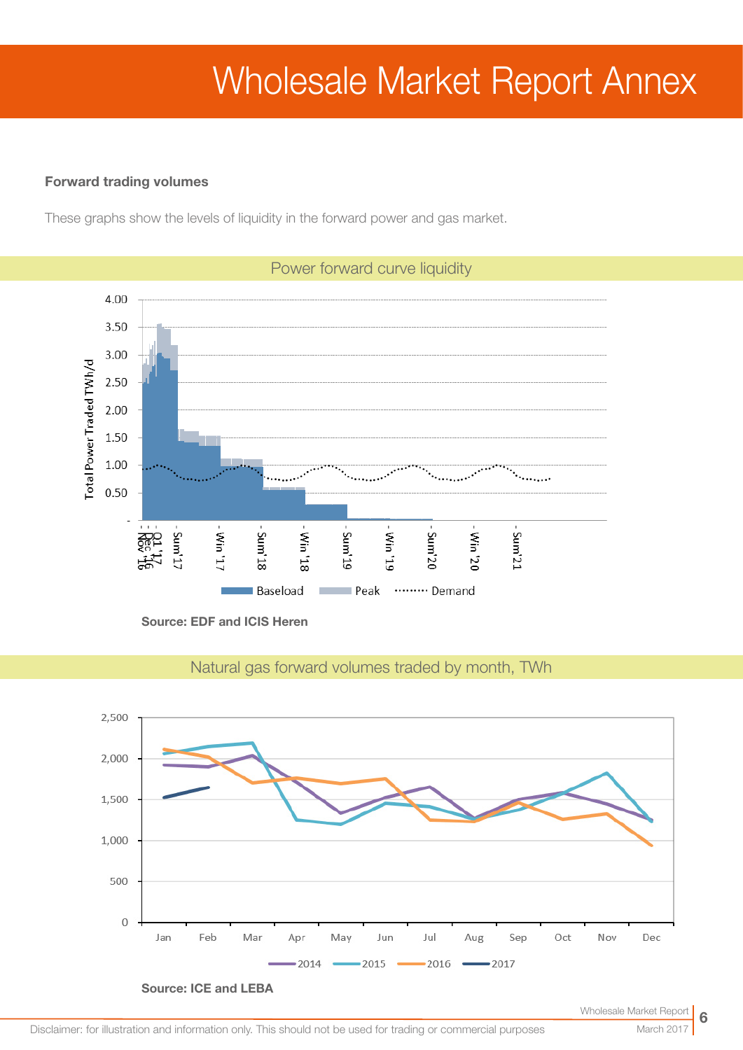# Wholesale Market Report Annex

### Forward trading volumes

These graphs show the levels of liquidity in the forward power and gas market.



Source: EDF and ICIS Heren



Natural gas forward volumes traded by month, TWh

Disclaimer: for illustration and information only. This should not be used for trading or commercial purposes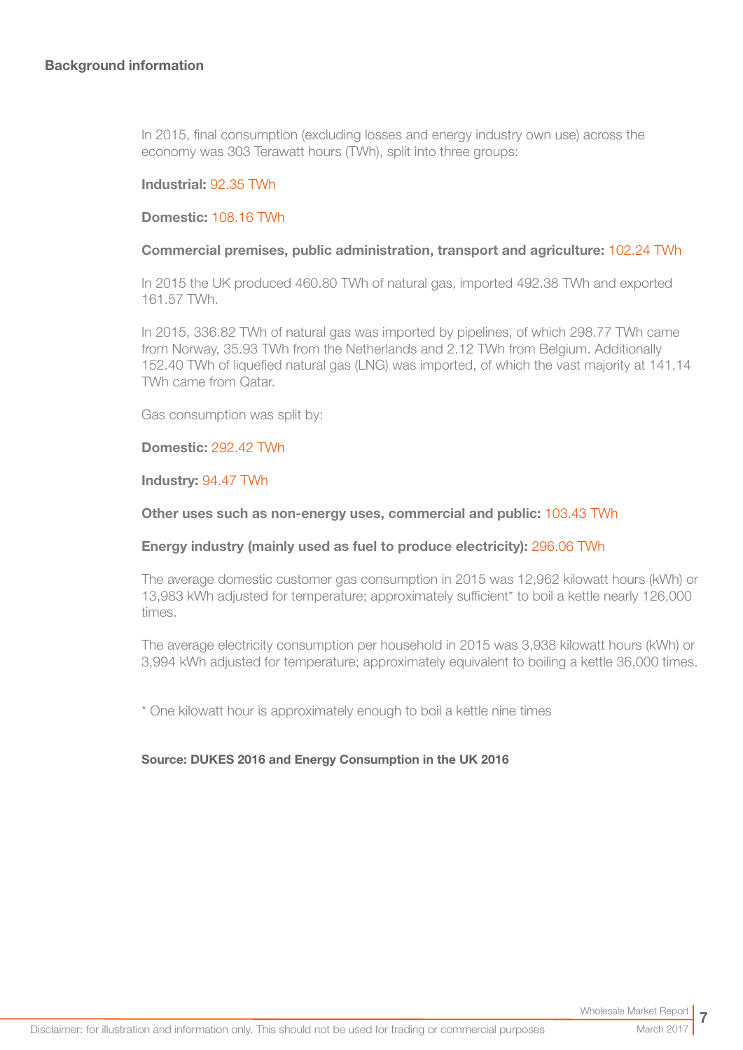In 2015, final consumption (excluding losses and energy industry own use) across the economy was 303 Terawatt hours (TWh), split into three groups:

#### Industrial: 92.35 TWh

#### Domestic: 108.16 TWh

#### Commercial premises, public administration, transport and agriculture: 102.24 TWh

In 2015 the UK produced 460.80 TWh of natural gas, imported 492.38 TWh and exported 161.57 TWh.

In 2015, 336.82 TWh of natural gas was imported by pipelines, of which 298.77 TWh came from Norway, 35.93 TWh from the Netherlands and 2.12 TWh from Belgium. Additionally 152.40 TWh of liquefied natural gas (LNG) was imported, of which the vast majority at 141.14 TWh came from Qatar.

Gas consumption was split by:

#### Domestic: 292.42 TWh

#### Industry: 94.47 TWh

#### Other uses such as non-energy uses, commercial and public: 103.43 TWh

#### Energy industry (mainly used as fuel to produce electricity): 296.06 TWh

The average domestic customer gas consumption in 2015 was 12,962 kilowatt hours (kWh) or 13,983 kWh adjusted for temperature; approximately sufficient\* to boil a kettle nearly 126,000 times.

The average electricity consumption per household in 2015 was 3,938 kilowatt hours (kWh) or 3,994 kWh adjusted for temperature; approximately equivalent to boiling a kettle 36,000 times.

\* One kilowatt hour is approximately enough to boil a kettle nine times

#### Source: DUKES 2016 and Energy Consumption in the UK 2016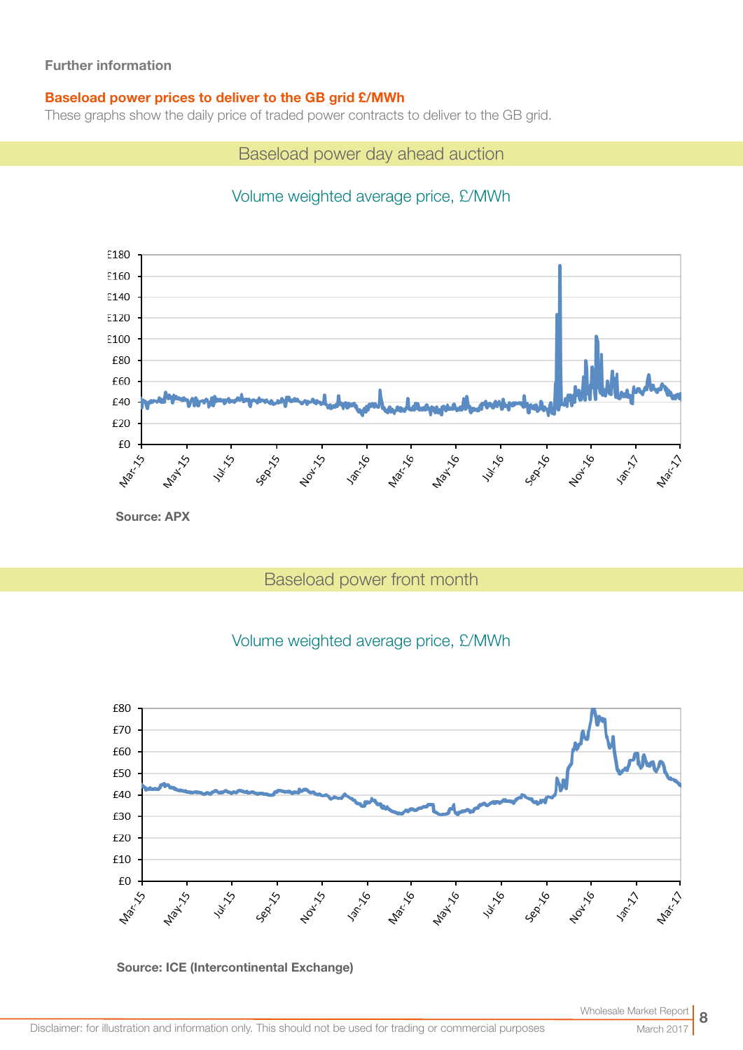## Further information

## Baseload power prices to deliver to the GB grid £/MWh

These graphs show the daily price of traded power contracts to deliver to the GB grid.

Baseload power day ahead auction

# Volume weighted average price, £/MWh



# Baseload power front month

## Volume weighted average price, £/MWh



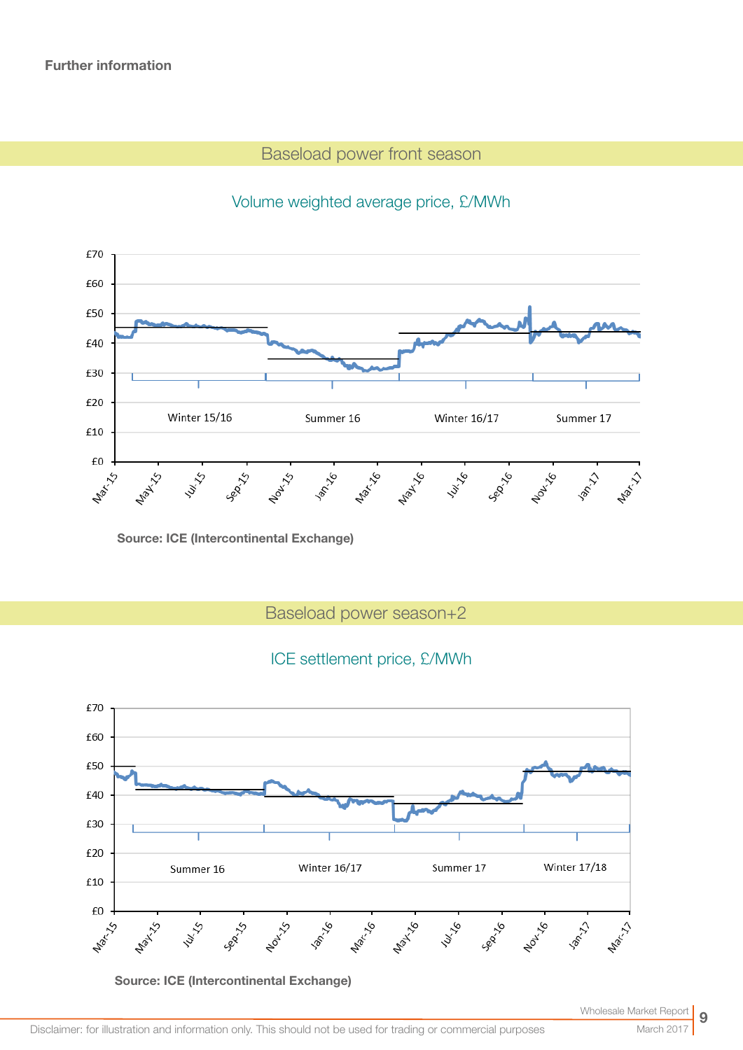## Baseload power front season



# Volume weighted average price, £/MWh

Source: ICE (Intercontinental Exchange)

Baseload power season+2

## ICE settlement price, £/MWh



Source: ICE (Intercontinental Exchange)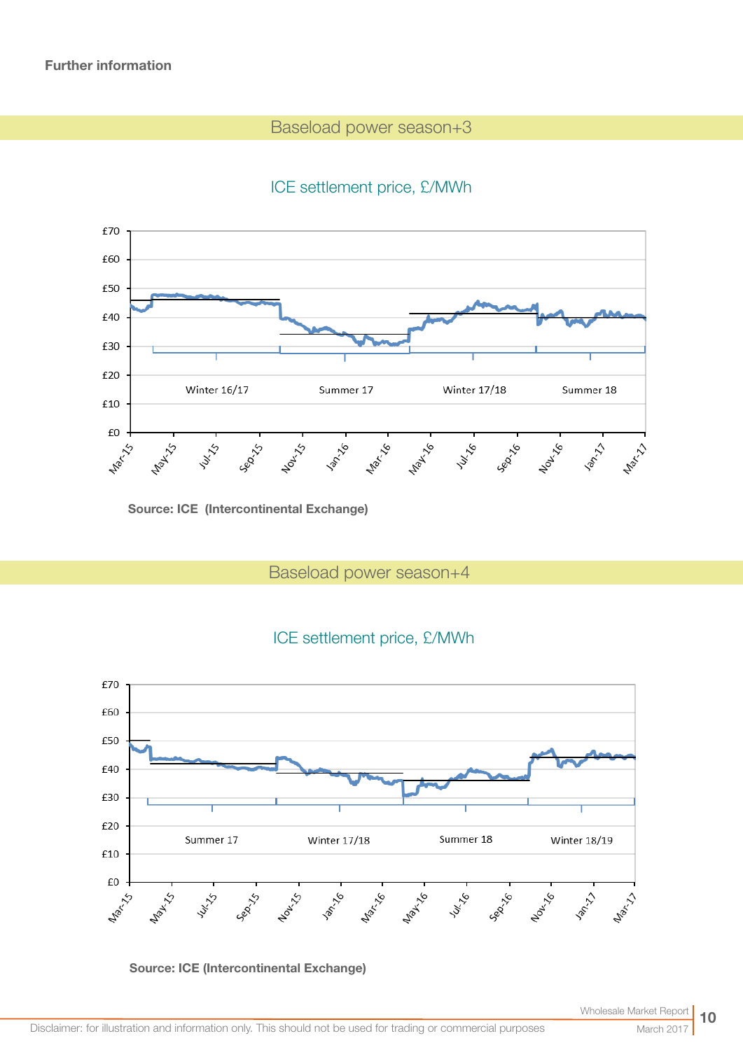## Baseload power season+3

# ICE settlement price, £/MWh



Source: ICE (Intercontinental Exchange)

Baseload power season+4



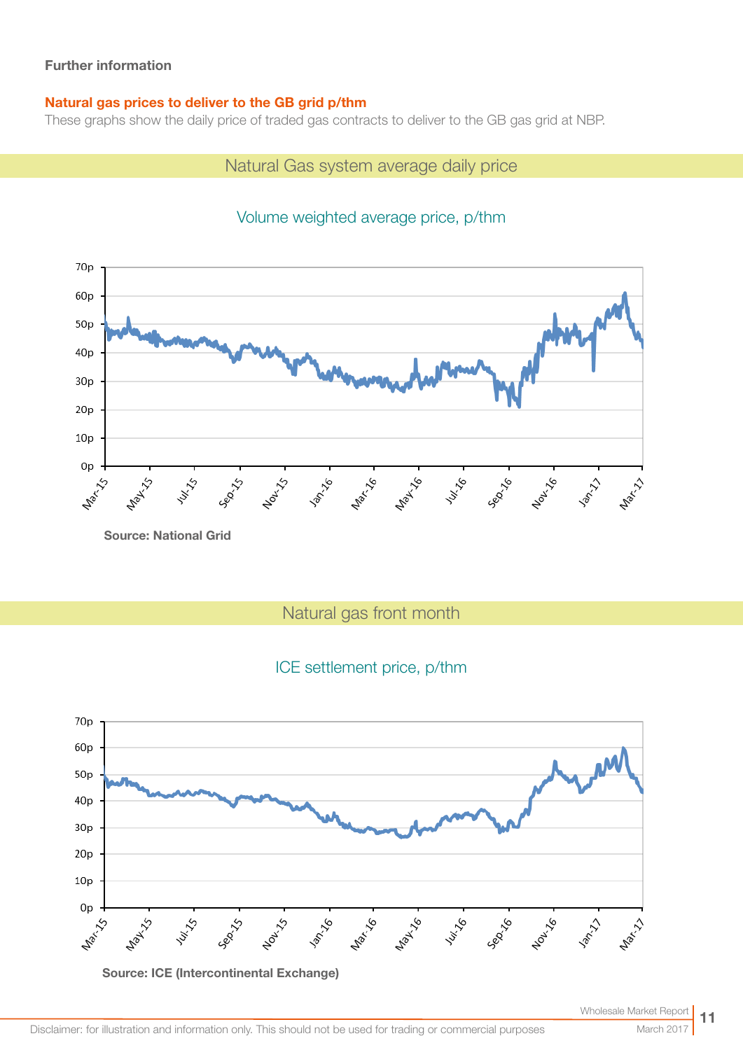## Further information

## Natural gas prices to deliver to the GB grid p/thm

These graphs show the daily price of traded gas contracts to deliver to the GB gas grid at NBP.

# Natural Gas system average daily price

#### 70<sub>p</sub> 60<sub>p</sub>  $50p$  $40p$  $30p$  $20p$  $10<sub>p</sub>$ 0<sub>p</sub> 141.16 **Max 15 -**Nov1-15 Nar. 16 Nav 16 Sep-16 1001-16 **PATION** Maxi 11 July 15 **LAWAY** ⊰ Source: National Grid

# Volume weighted average price, p/thm

Natural gas front month

## ICE settlement price, p/thm

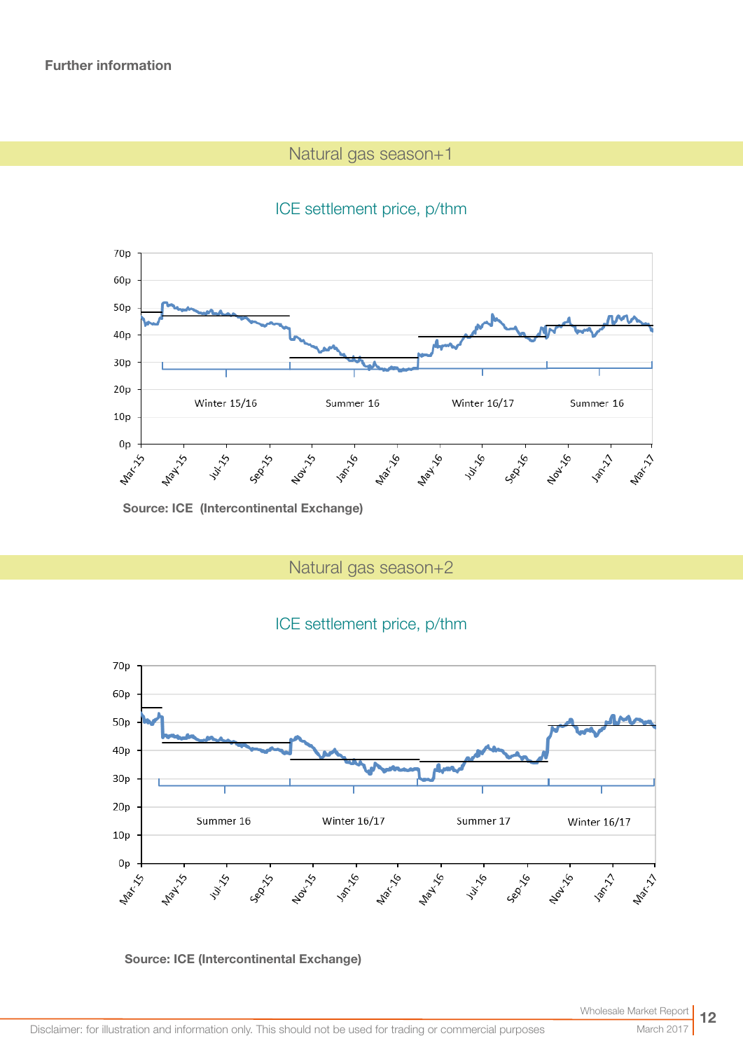# Natural gas season+1





Source: ICE (Intercontinental Exchange)

Natural gas season+2